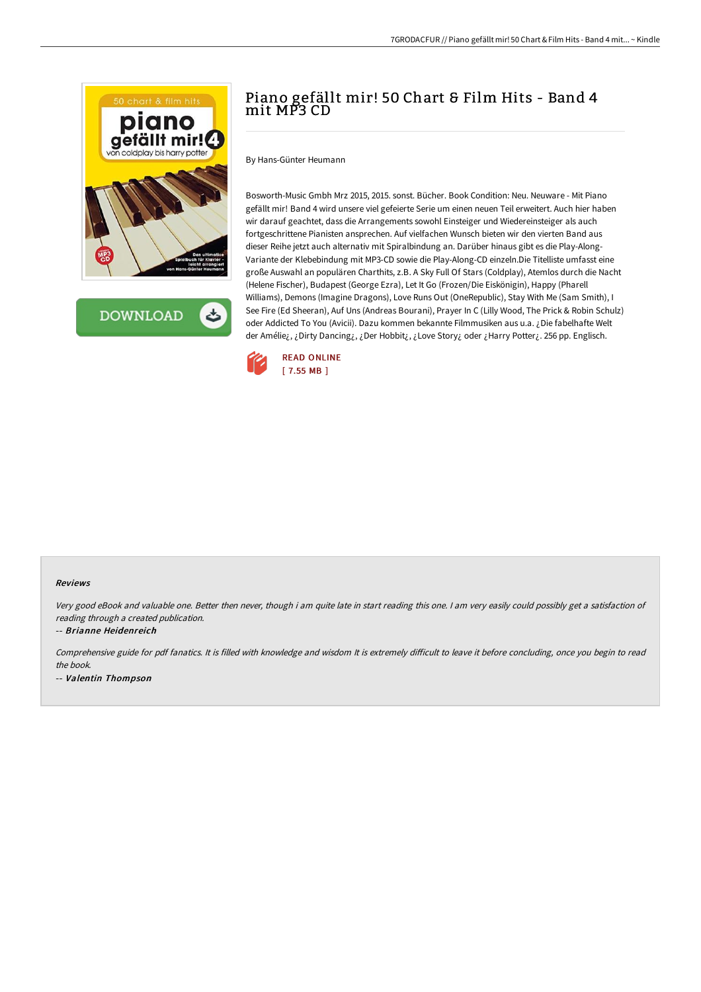



# Piano gefällt mir! 50 Chart & Film Hits - Band 4 mit MP3 CD

By Hans-Günter Heumann

Bosworth-Music Gmbh Mrz 2015, 2015. sonst. Bücher. Book Condition: Neu. Neuware - Mit Piano gefällt mir! Band 4 wird unsere viel gefeierte Serie um einen neuen Teil erweitert. Auch hier haben wir darauf geachtet, dass die Arrangements sowohl Einsteiger und Wiedereinsteiger als auch fortgeschrittene Pianisten ansprechen. Auf vielfachen Wunsch bieten wir den vierten Band aus dieser Reihe jetzt auch alternativ mit Spiralbindung an. Darüber hinaus gibt es die Play-Along-Variante der Klebebindung mit MP3-CD sowie die Play-Along-CD einzeln.Die Titelliste umfasst eine große Auswahl an populären Charthits, z.B. A Sky Full Of Stars (Coldplay), Atemlos durch die Nacht (Helene Fischer), Budapest (George Ezra), Let It Go (Frozen/Die Eiskönigin), Happy (Pharell Williams), Demons (Imagine Dragons), Love Runs Out (OneRepublic), Stay With Me (Sam Smith), I See Fire (Ed Sheeran), Auf Uns (Andreas Bourani), Prayer In C (Lilly Wood, The Prick & Robin Schulz) oder Addicted To You (Avicii). Dazu kommen bekannte Filmmusiken aus u.a. ¿Die fabelhafte Welt der Amélie¿, ¿Dirty Dancing¿, ¿Der Hobbit¿, ¿Love Story¿ oder ¿Harry Potter¿. 256 pp. Englisch.



#### Reviews

Very good eBook and valuable one. Better then never, though i am quite late in start reading this one. <sup>I</sup> am very easily could possibly get <sup>a</sup> satisfaction of reading through <sup>a</sup> created publication.

-- Brianne Heidenreich

Comprehensive guide for pdf fanatics. It is filled with knowledge and wisdom It is extremely difficult to leave it before concluding, once you begin to read the book. -- Valentin Thompson